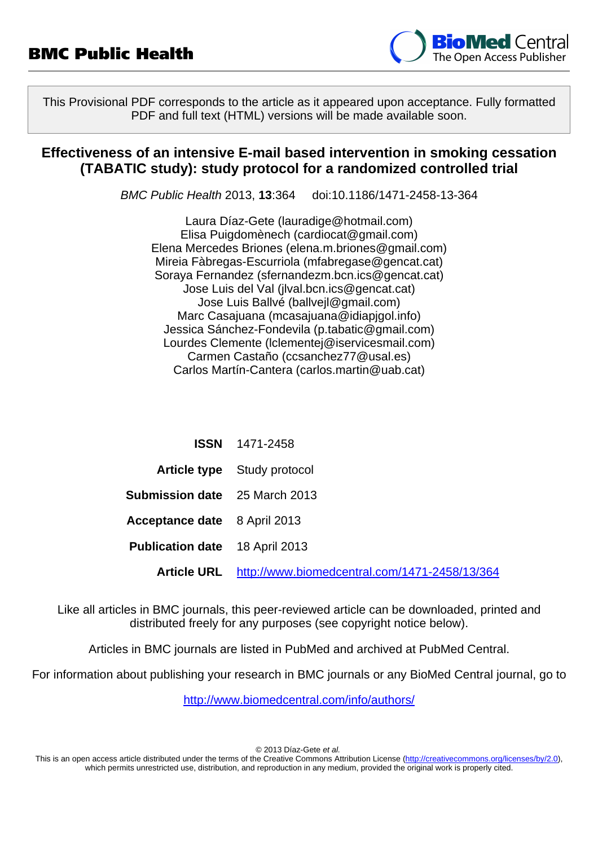

This Provisional PDF corresponds to the article as it appeared upon acceptance. Fully formatted PDF and full text (HTML) versions will be made available soon.

## **Effectiveness of an intensive E-mail based intervention in smoking cessation (TABATIC study): study protocol for a randomized controlled trial**

BMC Public Health 2013, **13**:364 doi:10.1186/1471-2458-13-364

Laura Díaz-Gete ([lauradige@hotmail.com\)](mailto:lauradige@hotmail.com) Elisa Puigdomènech [\(cardiocat@gmail.com\)](mailto:cardiocat@gmail.com) Elena Mercedes Briones ([elena.m.briones@gmail.com\)](mailto:elena.m.briones@gmail.com) Mireia Fàbregas-Escurriola ([mfabregase@gencat.cat\)](mailto:mfabregase@gencat.cat) Soraya Fernandez ([sfernandezm.bcn.ics@gencat.cat](mailto:sfernandezm.bcn.ics@gencat.cat)) Jose Luis del Val [\(jlval.bcn.ics@gencat.cat](mailto:jlval.bcn.ics@gencat.cat)) Jose Luis Ballvé ([ballvejl@gmail.com](mailto:ballvejl@gmail.com)) Marc Casajuana [\(mcasajuana@idiapjgol.info\)](mailto:mcasajuana@idiapjgol.info) Jessica Sánchez-Fondevila [\(p.tabatic@gmail.com](mailto:p.tabatic@gmail.com)) Lourdes Clemente ([lclementej@iservicesmail.com\)](mailto:lclementej@iservicesmail.com) Carmen Castaño ([ccsanchez77@usal.es\)](mailto:ccsanchez77@usal.es) Carlos Martín-Cantera ([carlos.martin@uab.cat\)](mailto:carlos.martin@uab.cat)

|                                       | $ISSN$ 1471-2458                                          |
|---------------------------------------|-----------------------------------------------------------|
|                                       | <b>Article type</b> Study protocol                        |
| <b>Submission date</b> 25 March 2013  |                                                           |
| <b>Acceptance date</b> 8 April 2013   |                                                           |
| <b>Publication date</b> 18 April 2013 |                                                           |
|                                       | Article URL http://www.biomedcentral.com/1471-2458/13/364 |

Like all articles in BMC journals, this peer-reviewed article can be downloaded, printed and distributed freely for any purposes (see copyright notice below).

Articles in BMC journals are listed in PubMed and archived at PubMed Central.

For information about publishing your research in BMC journals or any BioMed Central journal, go to

<http://www.biomedcentral.com/info/authors/>

© 2013 Díaz-Gete et al.

This is an open access article distributed under the terms of the Creative Commons Attribution License [\(http://creativecommons.org/licenses/by/2.0](http://creativecommons.org/licenses/by/2.0)), which permits unrestricted use, distribution, and reproduction in any medium, provided the original work is properly cited.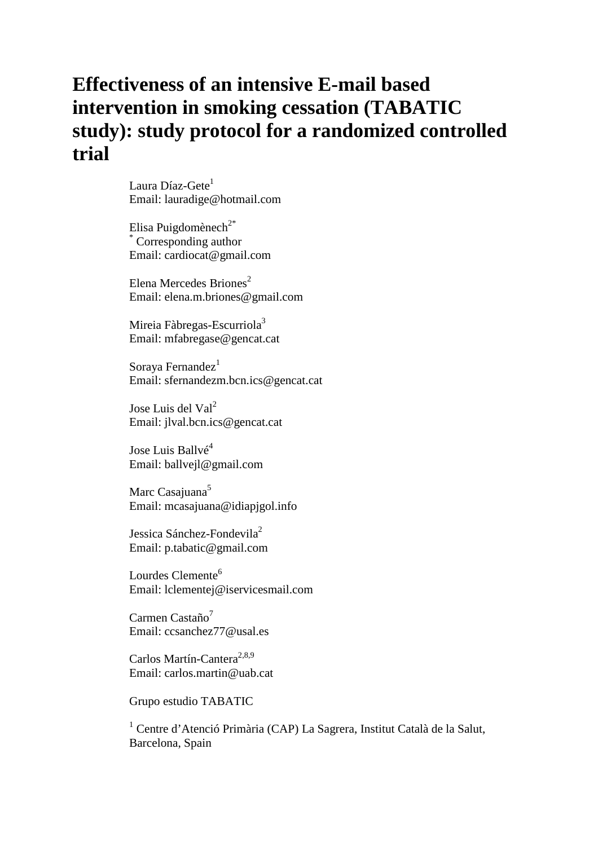# **Effectiveness of an intensive E-mail based intervention in smoking cessation (TABATIC study): study protocol for a randomized controlled trial**

Laura Díaz-Gete<sup>1</sup> Email: lauradige@hotmail.com

Elisa Puigdomènech<sup>2\*</sup> \* Corresponding author Email: cardiocat@gmail.com

Elena Mercedes Briones<sup>2</sup> Email: elena.m.briones@gmail.com

Mireia Fàbregas-Escurriola<sup>3</sup> Email: mfabregase@gencat.cat

Soraya Fernandez<sup>1</sup> Email: sfernandezm.bcn.ics@gencat.cat

Jose Luis del Val<sup>2</sup> Email: jlval.bcn.ics@gencat.cat

Jose Luis Ballvé<sup>4</sup> Email: ballvejl@gmail.com

Marc Casajuana<sup>5</sup> Email: mcasajuana@idiapjgol.info

Jessica Sánchez-Fondevila<sup>2</sup> Email: p.tabatic@gmail.com

Lourdes Clemente<sup>6</sup> Email: lclementej@iservicesmail.com

Carmen Castaño<sup>7</sup> Email: ccsanchez77@usal.es

Carlos Martín-Cantera<sup>2,8,9</sup> Email: carlos.martin@uab.cat

Grupo estudio TABATIC

<sup>1</sup> Centre d'Atenció Primària (CAP) La Sagrera, Institut Català de la Salut, Barcelona, Spain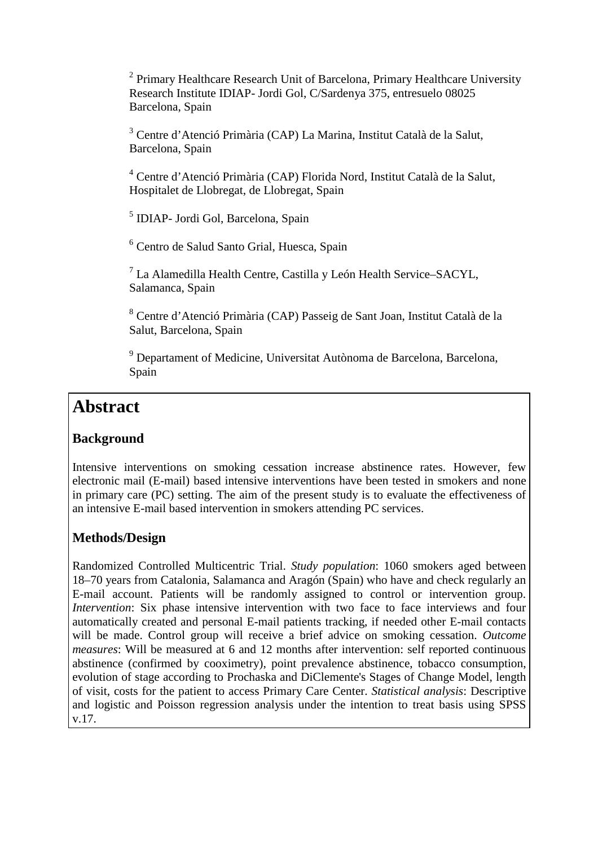<sup>2</sup> Primary Healthcare Research Unit of Barcelona, Primary Healthcare University Research Institute IDIAP- Jordi Gol, C/Sardenya 375, entresuelo 08025 Barcelona, Spain

<sup>3</sup> Centre d'Atenció Primària (CAP) La Marina, Institut Català de la Salut, Barcelona, Spain

4 Centre d'Atenció Primària (CAP) Florida Nord, Institut Català de la Salut, Hospitalet de Llobregat, de Llobregat, Spain

<sup>5</sup> IDIAP- Jordi Gol, Barcelona, Spain

6 Centro de Salud Santo Grial, Huesca, Spain

<sup>7</sup> La Alamedilla Health Centre, Castilla y León Health Service–SACYL, Salamanca, Spain

<sup>8</sup> Centre d'Atenció Primària (CAP) Passeig de Sant Joan, Institut Català de la Salut, Barcelona, Spain

<sup>9</sup> Departament of Medicine, Universitat Autònoma de Barcelona, Barcelona, Spain

# **Abstract**

### **Background**

Intensive interventions on smoking cessation increase abstinence rates. However, few electronic mail (E-mail) based intensive interventions have been tested in smokers and none in primary care (PC) setting. The aim of the present study is to evaluate the effectiveness of an intensive E-mail based intervention in smokers attending PC services.

# **Methods/Design**

Randomized Controlled Multicentric Trial. *Study population*: 1060 smokers aged between 18–70 years from Catalonia, Salamanca and Aragón (Spain) who have and check regularly an E-mail account. Patients will be randomly assigned to control or intervention group. *Intervention*: Six phase intensive intervention with two face to face interviews and four automatically created and personal E-mail patients tracking, if needed other E-mail contacts will be made. Control group will receive a brief advice on smoking cessation. *Outcome measures*: Will be measured at 6 and 12 months after intervention: self reported continuous abstinence (confirmed by cooximetry), point prevalence abstinence, tobacco consumption, evolution of stage according to Prochaska and DiClemente's Stages of Change Model, length of visit, costs for the patient to access Primary Care Center. *Statistical analysis*: Descriptive and logistic and Poisson regression analysis under the intention to treat basis using SPSS v.17.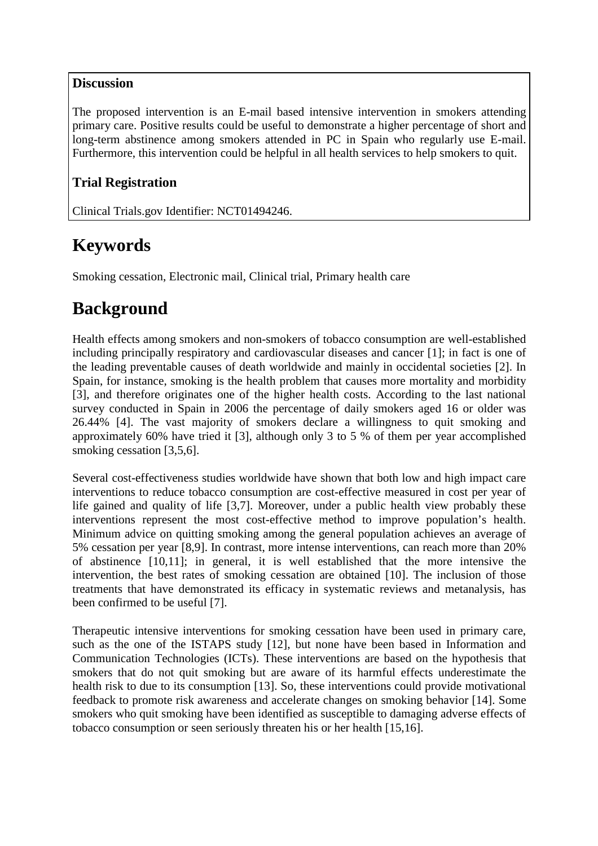#### **Discussion**

The proposed intervention is an E-mail based intensive intervention in smokers attending primary care. Positive results could be useful to demonstrate a higher percentage of short and long-term abstinence among smokers attended in PC in Spain who regularly use E-mail. Furthermore, this intervention could be helpful in all health services to help smokers to quit.

# **Trial Registration**

Clinical Trials.gov Identifier: NCT01494246.

# **Keywords**

Smoking cessation, Electronic mail, Clinical trial, Primary health care

# **Background**

Health effects among smokers and non-smokers of tobacco consumption are well-established including principally respiratory and cardiovascular diseases and cancer [1]; in fact is one of the leading preventable causes of death worldwide and mainly in occidental societies [2]. In Spain, for instance, smoking is the health problem that causes more mortality and morbidity [3], and therefore originates one of the higher health costs. According to the last national survey conducted in Spain in 2006 the percentage of daily smokers aged 16 or older was 26.44% [4]. The vast majority of smokers declare a willingness to quit smoking and approximately 60% have tried it [3], although only 3 to 5 % of them per year accomplished smoking cessation [3,5,6].

Several cost-effectiveness studies worldwide have shown that both low and high impact care interventions to reduce tobacco consumption are cost-effective measured in cost per year of life gained and quality of life [3,7]. Moreover, under a public health view probably these interventions represent the most cost-effective method to improve population's health. Minimum advice on quitting smoking among the general population achieves an average of 5% cessation per year [8,9]. In contrast, more intense interventions, can reach more than 20% of abstinence [10,11]; in general, it is well established that the more intensive the intervention, the best rates of smoking cessation are obtained [10]. The inclusion of those treatments that have demonstrated its efficacy in systematic reviews and metanalysis, has been confirmed to be useful [7].

Therapeutic intensive interventions for smoking cessation have been used in primary care, such as the one of the ISTAPS study [12], but none have been based in Information and Communication Technologies (ICTs). These interventions are based on the hypothesis that smokers that do not quit smoking but are aware of its harmful effects underestimate the health risk to due to its consumption [13]. So, these interventions could provide motivational feedback to promote risk awareness and accelerate changes on smoking behavior [14]. Some smokers who quit smoking have been identified as susceptible to damaging adverse effects of tobacco consumption or seen seriously threaten his or her health [15,16].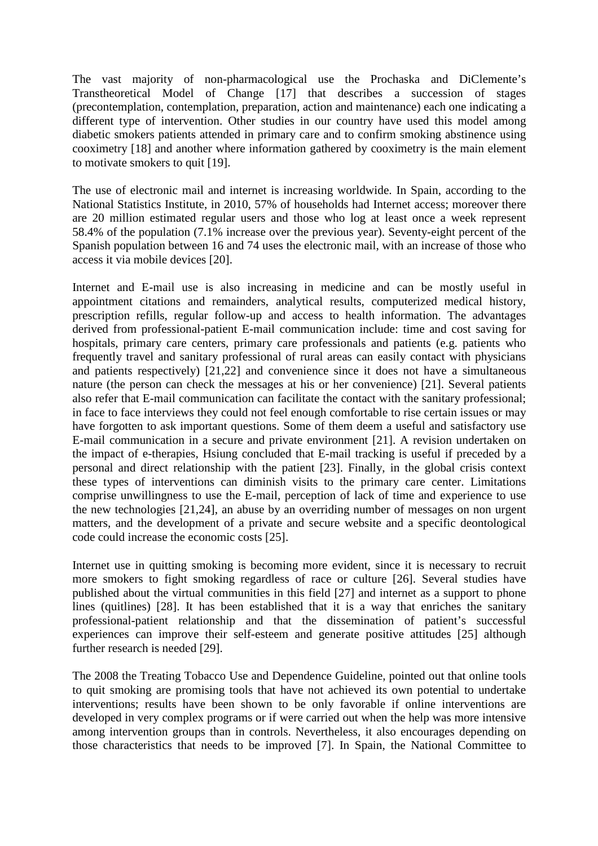The vast majority of non-pharmacological use the Prochaska and DiClemente's Transtheoretical Model of Change [17] that describes a succession of stages (precontemplation, contemplation, preparation, action and maintenance) each one indicating a different type of intervention. Other studies in our country have used this model among diabetic smokers patients attended in primary care and to confirm smoking abstinence using cooximetry [18] and another where information gathered by cooximetry is the main element to motivate smokers to quit [19].

The use of electronic mail and internet is increasing worldwide. In Spain, according to the National Statistics Institute, in 2010, 57% of households had Internet access; moreover there are 20 million estimated regular users and those who log at least once a week represent 58.4% of the population (7.1% increase over the previous year). Seventy-eight percent of the Spanish population between 16 and 74 uses the electronic mail, with an increase of those who access it via mobile devices [20].

Internet and E-mail use is also increasing in medicine and can be mostly useful in appointment citations and remainders, analytical results, computerized medical history, prescription refills, regular follow-up and access to health information. The advantages derived from professional-patient E-mail communication include: time and cost saving for hospitals, primary care centers, primary care professionals and patients (e.g. patients who frequently travel and sanitary professional of rural areas can easily contact with physicians and patients respectively) [21,22] and convenience since it does not have a simultaneous nature (the person can check the messages at his or her convenience) [21]. Several patients also refer that E-mail communication can facilitate the contact with the sanitary professional; in face to face interviews they could not feel enough comfortable to rise certain issues or may have forgotten to ask important questions. Some of them deem a useful and satisfactory use E-mail communication in a secure and private environment [21]. A revision undertaken on the impact of e-therapies, Hsiung concluded that E-mail tracking is useful if preceded by a personal and direct relationship with the patient [23]. Finally, in the global crisis context these types of interventions can diminish visits to the primary care center. Limitations comprise unwillingness to use the E-mail, perception of lack of time and experience to use the new technologies [21,24], an abuse by an overriding number of messages on non urgent matters, and the development of a private and secure website and a specific deontological code could increase the economic costs [25].

Internet use in quitting smoking is becoming more evident, since it is necessary to recruit more smokers to fight smoking regardless of race or culture [26]. Several studies have published about the virtual communities in this field [27] and internet as a support to phone lines (quitlines) [28]. It has been established that it is a way that enriches the sanitary professional-patient relationship and that the dissemination of patient's successful experiences can improve their self-esteem and generate positive attitudes [25] although further research is needed [29].

The 2008 the Treating Tobacco Use and Dependence Guideline, pointed out that online tools to quit smoking are promising tools that have not achieved its own potential to undertake interventions; results have been shown to be only favorable if online interventions are developed in very complex programs or if were carried out when the help was more intensive among intervention groups than in controls. Nevertheless, it also encourages depending on those characteristics that needs to be improved [7]. In Spain, the National Committee to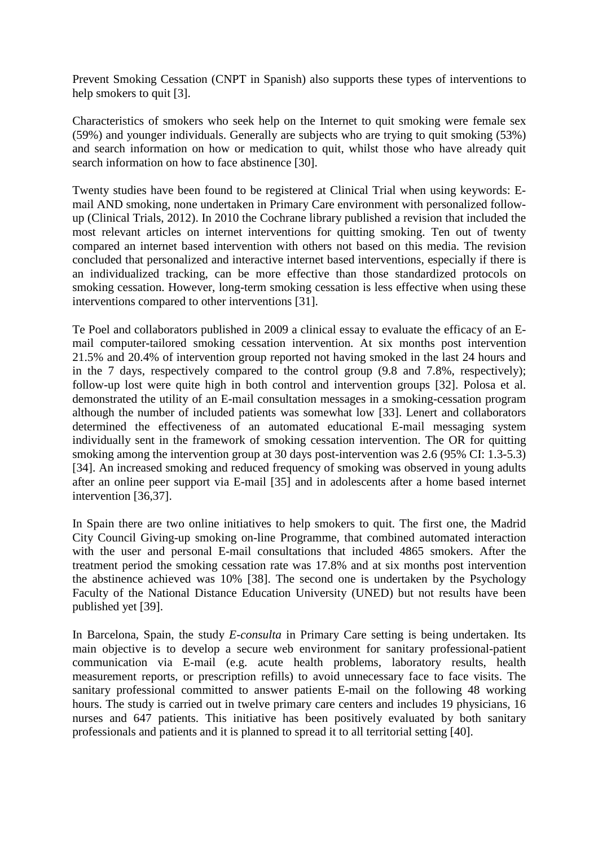Prevent Smoking Cessation (CNPT in Spanish) also supports these types of interventions to help smokers to quit [3].

Characteristics of smokers who seek help on the Internet to quit smoking were female sex (59%) and younger individuals. Generally are subjects who are trying to quit smoking (53%) and search information on how or medication to quit, whilst those who have already quit search information on how to face abstinence [30].

Twenty studies have been found to be registered at Clinical Trial when using keywords: Email AND smoking, none undertaken in Primary Care environment with personalized followup (Clinical Trials, 2012). In 2010 the Cochrane library published a revision that included the most relevant articles on internet interventions for quitting smoking. Ten out of twenty compared an internet based intervention with others not based on this media. The revision concluded that personalized and interactive internet based interventions, especially if there is an individualized tracking, can be more effective than those standardized protocols on smoking cessation. However, long-term smoking cessation is less effective when using these interventions compared to other interventions [31].

Te Poel and collaborators published in 2009 a clinical essay to evaluate the efficacy of an Email computer-tailored smoking cessation intervention. At six months post intervention 21.5% and 20.4% of intervention group reported not having smoked in the last 24 hours and in the 7 days, respectively compared to the control group (9.8 and 7.8%, respectively); follow-up lost were quite high in both control and intervention groups [32]. Polosa et al. demonstrated the utility of an E-mail consultation messages in a smoking-cessation program although the number of included patients was somewhat low [33]. Lenert and collaborators determined the effectiveness of an automated educational E-mail messaging system individually sent in the framework of smoking cessation intervention. The OR for quitting smoking among the intervention group at 30 days post-intervention was 2.6 (95% CI: 1.3-5.3) [34]. An increased smoking and reduced frequency of smoking was observed in young adults after an online peer support via E-mail [35] and in adolescents after a home based internet intervention [36,37].

In Spain there are two online initiatives to help smokers to quit. The first one, the Madrid City Council Giving-up smoking on-line Programme, that combined automated interaction with the user and personal E-mail consultations that included 4865 smokers. After the treatment period the smoking cessation rate was 17.8% and at six months post intervention the abstinence achieved was 10% [38]. The second one is undertaken by the Psychology Faculty of the National Distance Education University (UNED) but not results have been published yet [39].

In Barcelona, Spain, the study *E*-*consulta* in Primary Care setting is being undertaken. Its main objective is to develop a secure web environment for sanitary professional-patient communication via E-mail (e.g. acute health problems, laboratory results, health measurement reports, or prescription refills) to avoid unnecessary face to face visits. The sanitary professional committed to answer patients E-mail on the following 48 working hours. The study is carried out in twelve primary care centers and includes 19 physicians, 16 nurses and 647 patients. This initiative has been positively evaluated by both sanitary professionals and patients and it is planned to spread it to all territorial setting [40].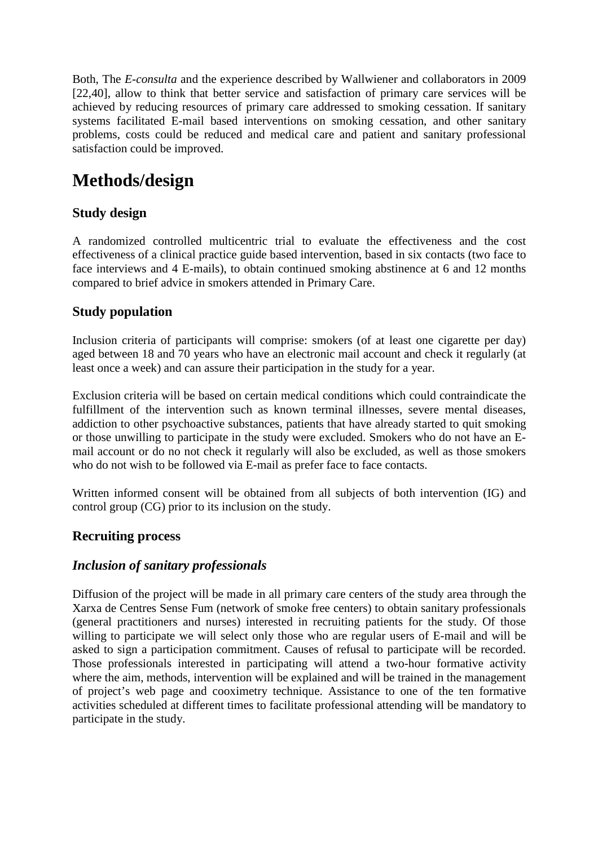Both, The *E*-*consulta* and the experience described by Wallwiener and collaborators in 2009 [22.40], allow to think that better service and satisfaction of primary care services will be achieved by reducing resources of primary care addressed to smoking cessation. If sanitary systems facilitated E-mail based interventions on smoking cessation, and other sanitary problems, costs could be reduced and medical care and patient and sanitary professional satisfaction could be improved.

# **Methods/design**

## **Study design**

A randomized controlled multicentric trial to evaluate the effectiveness and the cost effectiveness of a clinical practice guide based intervention, based in six contacts (two face to face interviews and 4 E-mails), to obtain continued smoking abstinence at 6 and 12 months compared to brief advice in smokers attended in Primary Care.

### **Study population**

Inclusion criteria of participants will comprise: smokers (of at least one cigarette per day) aged between 18 and 70 years who have an electronic mail account and check it regularly (at least once a week) and can assure their participation in the study for a year.

Exclusion criteria will be based on certain medical conditions which could contraindicate the fulfillment of the intervention such as known terminal illnesses, severe mental diseases, addiction to other psychoactive substances, patients that have already started to quit smoking or those unwilling to participate in the study were excluded. Smokers who do not have an Email account or do no not check it regularly will also be excluded, as well as those smokers who do not wish to be followed via E-mail as prefer face to face contacts.

Written informed consent will be obtained from all subjects of both intervention (IG) and control group (CG) prior to its inclusion on the study.

### **Recruiting process**

#### *Inclusion of sanitary professionals*

Diffusion of the project will be made in all primary care centers of the study area through the Xarxa de Centres Sense Fum (network of smoke free centers) to obtain sanitary professionals (general practitioners and nurses) interested in recruiting patients for the study. Of those willing to participate we will select only those who are regular users of E-mail and will be asked to sign a participation commitment. Causes of refusal to participate will be recorded. Those professionals interested in participating will attend a two-hour formative activity where the aim, methods, intervention will be explained and will be trained in the management of project's web page and cooximetry technique. Assistance to one of the ten formative activities scheduled at different times to facilitate professional attending will be mandatory to participate in the study.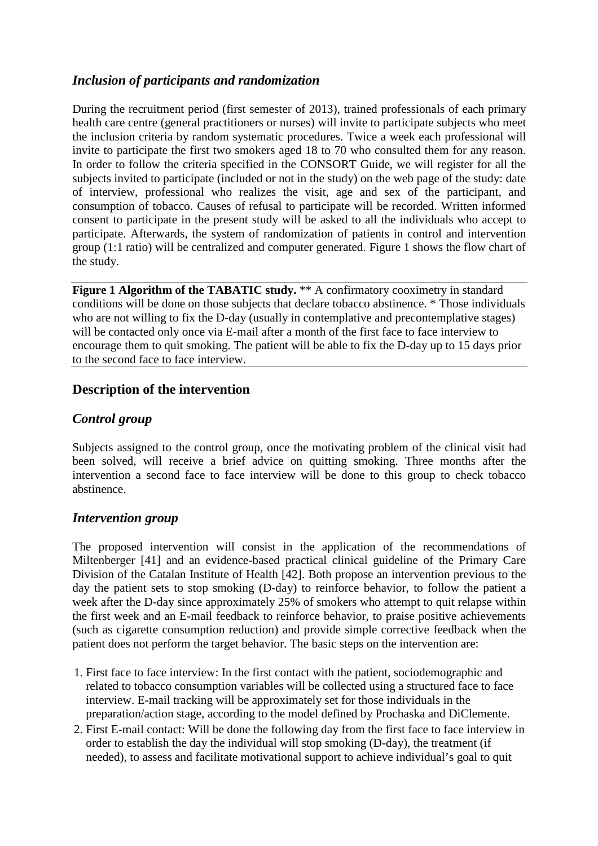### *Inclusion of participants and randomization*

During the recruitment period (first semester of 2013), trained professionals of each primary health care centre (general practitioners or nurses) will invite to participate subjects who meet the inclusion criteria by random systematic procedures. Twice a week each professional will invite to participate the first two smokers aged 18 to 70 who consulted them for any reason. In order to follow the criteria specified in the CONSORT Guide, we will register for all the subjects invited to participate (included or not in the study) on the web page of the study: date of interview, professional who realizes the visit, age and sex of the participant, and consumption of tobacco. Causes of refusal to participate will be recorded. Written informed consent to participate in the present study will be asked to all the individuals who accept to participate. Afterwards, the system of randomization of patients in control and intervention group (1:1 ratio) will be centralized and computer generated. Figure 1 shows the flow chart of the study.

**Figure 1 Algorithm of the TABATIC study.** \*\* A confirmatory cooximetry in standard conditions will be done on those subjects that declare tobacco abstinence. \* Those individuals who are not willing to fix the D-day (usually in contemplative and precontemplative stages) will be contacted only once via E-mail after a month of the first face to face interview to encourage them to quit smoking. The patient will be able to fix the D-day up to 15 days prior to the second face to face interview.

### **Description of the intervention**

## *Control group*

Subjects assigned to the control group, once the motivating problem of the clinical visit had been solved, will receive a brief advice on quitting smoking. Three months after the intervention a second face to face interview will be done to this group to check tobacco abstinence.

### *Intervention group*

The proposed intervention will consist in the application of the recommendations of Miltenberger [41] and an evidence-based practical clinical guideline of the Primary Care Division of the Catalan Institute of Health [42]. Both propose an intervention previous to the day the patient sets to stop smoking (D-day) to reinforce behavior, to follow the patient a week after the D-day since approximately 25% of smokers who attempt to quit relapse within the first week and an E-mail feedback to reinforce behavior, to praise positive achievements (such as cigarette consumption reduction) and provide simple corrective feedback when the patient does not perform the target behavior. The basic steps on the intervention are:

- 1. First face to face interview: In the first contact with the patient, sociodemographic and related to tobacco consumption variables will be collected using a structured face to face interview. E-mail tracking will be approximately set for those individuals in the preparation/action stage, according to the model defined by Prochaska and DiClemente.
- 2. First E-mail contact: Will be done the following day from the first face to face interview in order to establish the day the individual will stop smoking (D-day), the treatment (if needed), to assess and facilitate motivational support to achieve individual's goal to quit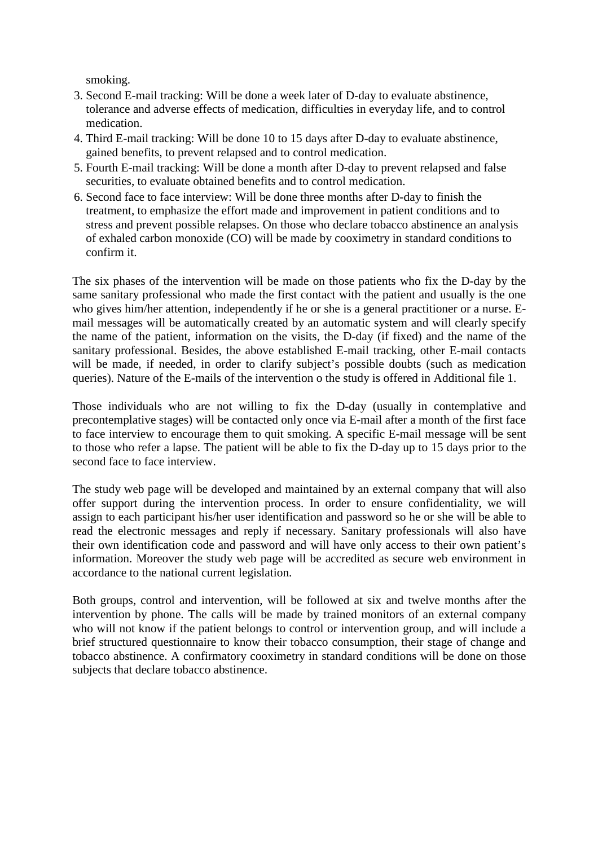smoking.

- 3. Second E-mail tracking: Will be done a week later of D-day to evaluate abstinence, tolerance and adverse effects of medication, difficulties in everyday life, and to control medication.
- 4. Third E-mail tracking: Will be done 10 to 15 days after D-day to evaluate abstinence, gained benefits, to prevent relapsed and to control medication.
- 5. Fourth E-mail tracking: Will be done a month after D-day to prevent relapsed and false securities, to evaluate obtained benefits and to control medication.
- 6. Second face to face interview: Will be done three months after D-day to finish the treatment, to emphasize the effort made and improvement in patient conditions and to stress and prevent possible relapses. On those who declare tobacco abstinence an analysis of exhaled carbon monoxide (CO) will be made by cooximetry in standard conditions to confirm it.

The six phases of the intervention will be made on those patients who fix the D-day by the same sanitary professional who made the first contact with the patient and usually is the one who gives him/her attention, independently if he or she is a general practitioner or a nurse. Email messages will be automatically created by an automatic system and will clearly specify the name of the patient, information on the visits, the D-day (if fixed) and the name of the sanitary professional. Besides, the above established E-mail tracking, other E-mail contacts will be made, if needed, in order to clarify subject's possible doubts (such as medication queries). Nature of the E-mails of the intervention o the study is offered in Additional file 1.

Those individuals who are not willing to fix the D-day (usually in contemplative and precontemplative stages) will be contacted only once via E-mail after a month of the first face to face interview to encourage them to quit smoking. A specific E-mail message will be sent to those who refer a lapse. The patient will be able to fix the D-day up to 15 days prior to the second face to face interview.

The study web page will be developed and maintained by an external company that will also offer support during the intervention process. In order to ensure confidentiality, we will assign to each participant his/her user identification and password so he or she will be able to read the electronic messages and reply if necessary. Sanitary professionals will also have their own identification code and password and will have only access to their own patient's information. Moreover the study web page will be accredited as secure web environment in accordance to the national current legislation.

Both groups, control and intervention, will be followed at six and twelve months after the intervention by phone. The calls will be made by trained monitors of an external company who will not know if the patient belongs to control or intervention group, and will include a brief structured questionnaire to know their tobacco consumption, their stage of change and tobacco abstinence. A confirmatory cooximetry in standard conditions will be done on those subjects that declare tobacco abstinence.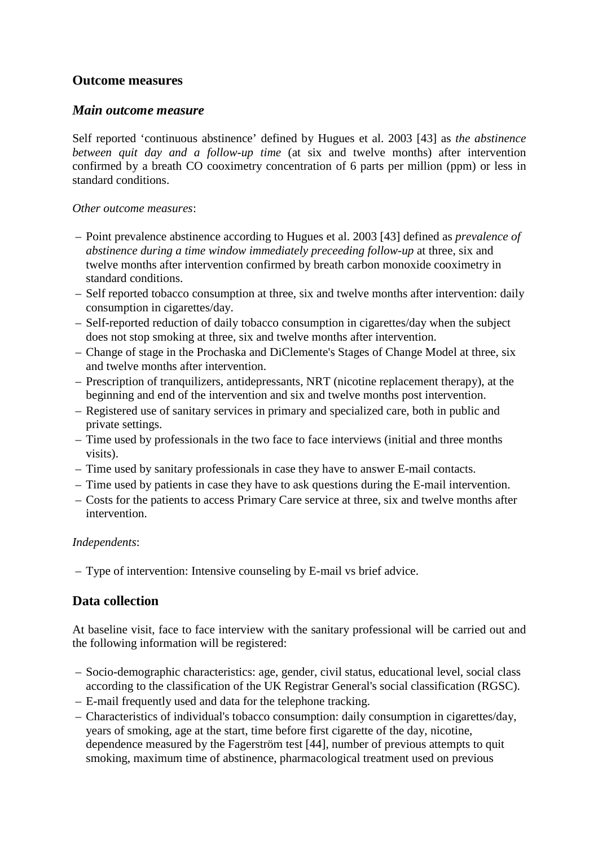### **Outcome measures**

#### *Main outcome measure*

Self reported 'continuous abstinence' defined by Hugues et al. 2003 [43] as *the abstinence between quit day and a follow*-*up time* (at six and twelve months) after intervention confirmed by a breath CO cooximetry concentration of 6 parts per million (ppm) or less in standard conditions.

*Other outcome measures*:

- Point prevalence abstinence according to Hugues et al. 2003 [43] defined as *prevalence of abstinence during a time window immediately preceeding follow*-*up* at three, six and twelve months after intervention confirmed by breath carbon monoxide cooximetry in standard conditions.
- Self reported tobacco consumption at three, six and twelve months after intervention: daily consumption in cigarettes/day.
- Self-reported reduction of daily tobacco consumption in cigarettes/day when the subject does not stop smoking at three, six and twelve months after intervention.
- Change of stage in the Prochaska and DiClemente's Stages of Change Model at three, six and twelve months after intervention.
- Prescription of tranquilizers, antidepressants, NRT (nicotine replacement therapy), at the beginning and end of the intervention and six and twelve months post intervention.
- Registered use of sanitary services in primary and specialized care, both in public and private settings.
- Time used by professionals in the two face to face interviews (initial and three months visits).
- Time used by sanitary professionals in case they have to answer E-mail contacts.
- Time used by patients in case they have to ask questions during the E-mail intervention.
- Costs for the patients to access Primary Care service at three, six and twelve months after intervention.

#### *Independents*:

– Type of intervention: Intensive counseling by E-mail vs brief advice.

### **Data collection**

At baseline visit, face to face interview with the sanitary professional will be carried out and the following information will be registered:

- Socio-demographic characteristics: age, gender, civil status, educational level, social class according to the classification of the UK Registrar General's social classification (RGSC).
- E-mail frequently used and data for the telephone tracking.
- Characteristics of individual's tobacco consumption: daily consumption in cigarettes/day, years of smoking, age at the start, time before first cigarette of the day, nicotine, dependence measured by the Fagerström test [44], number of previous attempts to quit smoking, maximum time of abstinence, pharmacological treatment used on previous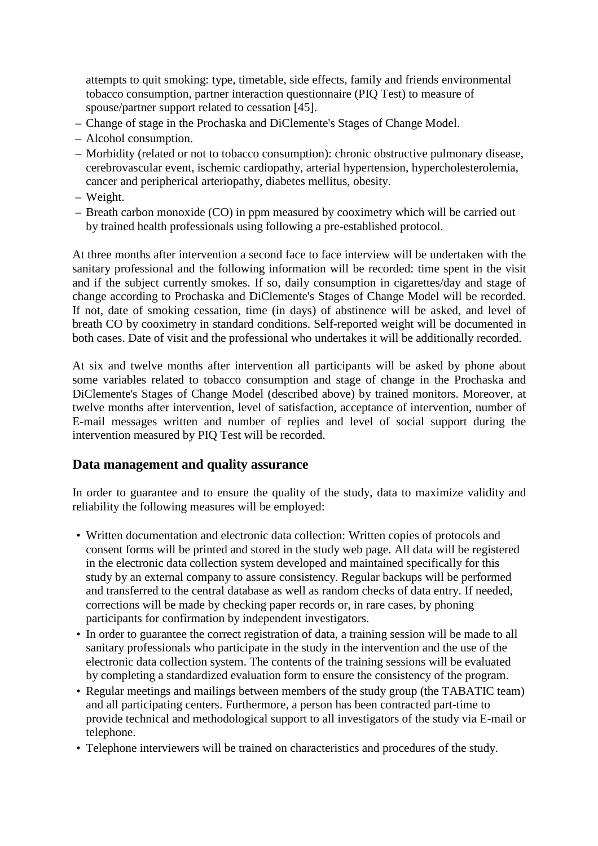attempts to quit smoking: type, timetable, side effects, family and friends environmental tobacco consumption, partner interaction questionnaire (PIQ Test) to measure of spouse/partner support related to cessation [45].

- Change of stage in the Prochaska and DiClemente's Stages of Change Model.
- Alcohol consumption.
- Morbidity (related or not to tobacco consumption): chronic obstructive pulmonary disease, cerebrovascular event, ischemic cardiopathy, arterial hypertension, hypercholesterolemia, cancer and peripherical arteriopathy, diabetes mellitus, obesity.
- Weight.
- Breath carbon monoxide (CO) in ppm measured by cooximetry which will be carried out by trained health professionals using following a pre-established protocol.

At three months after intervention a second face to face interview will be undertaken with the sanitary professional and the following information will be recorded: time spent in the visit and if the subject currently smokes. If so, daily consumption in cigarettes/day and stage of change according to Prochaska and DiClemente's Stages of Change Model will be recorded. If not, date of smoking cessation, time (in days) of abstinence will be asked, and level of breath CO by cooximetry in standard conditions. Self-reported weight will be documented in both cases. Date of visit and the professional who undertakes it will be additionally recorded.

At six and twelve months after intervention all participants will be asked by phone about some variables related to tobacco consumption and stage of change in the Prochaska and DiClemente's Stages of Change Model (described above) by trained monitors. Moreover, at twelve months after intervention, level of satisfaction, acceptance of intervention, number of E-mail messages written and number of replies and level of social support during the intervention measured by PIQ Test will be recorded.

#### **Data management and quality assurance**

In order to guarantee and to ensure the quality of the study, data to maximize validity and reliability the following measures will be employed:

- Written documentation and electronic data collection: Written copies of protocols and consent forms will be printed and stored in the study web page. All data will be registered in the electronic data collection system developed and maintained specifically for this study by an external company to assure consistency. Regular backups will be performed and transferred to the central database as well as random checks of data entry. If needed, corrections will be made by checking paper records or, in rare cases, by phoning participants for confirmation by independent investigators.
- In order to guarantee the correct registration of data, a training session will be made to all sanitary professionals who participate in the study in the intervention and the use of the electronic data collection system. The contents of the training sessions will be evaluated by completing a standardized evaluation form to ensure the consistency of the program.
- Regular meetings and mailings between members of the study group (the TABATIC team) and all participating centers. Furthermore, a person has been contracted part-time to provide technical and methodological support to all investigators of the study via E-mail or telephone.
- Telephone interviewers will be trained on characteristics and procedures of the study.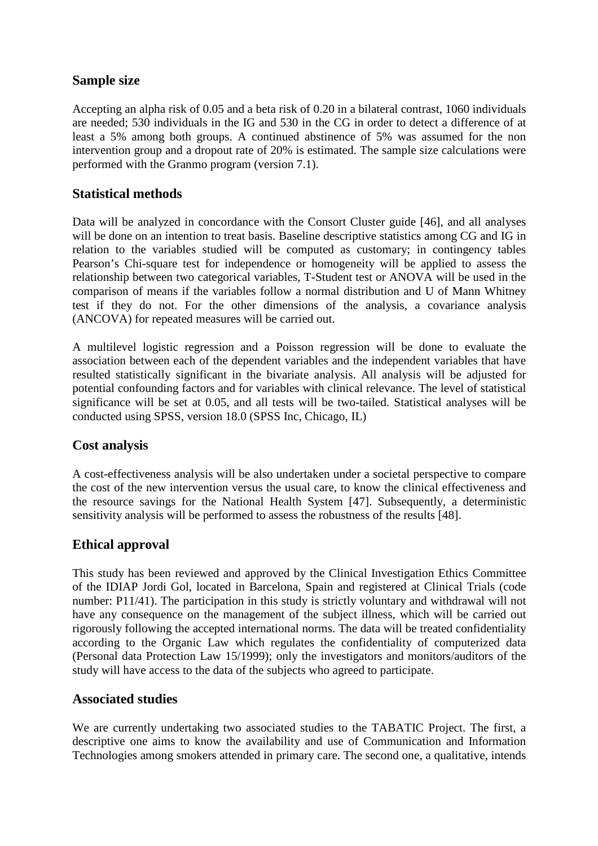### **Sample size**

Accepting an alpha risk of 0.05 and a beta risk of 0.20 in a bilateral contrast, 1060 individuals are needed; 530 individuals in the IG and 530 in the CG in order to detect a difference of at least a 5% among both groups. A continued abstinence of 5% was assumed for the non intervention group and a dropout rate of 20% is estimated. The sample size calculations were performed with the Granmo program (version 7.1).

### **Statistical methods**

Data will be analyzed in concordance with the Consort Cluster guide [46], and all analyses will be done on an intention to treat basis. Baseline descriptive statistics among CG and IG in relation to the variables studied will be computed as customary; in contingency tables Pearson's Chi-square test for independence or homogeneity will be applied to assess the relationship between two categorical variables, T-Student test or ANOVA will be used in the comparison of means if the variables follow a normal distribution and U of Mann Whitney test if they do not. For the other dimensions of the analysis, a covariance analysis (ANCOVA) for repeated measures will be carried out.

A multilevel logistic regression and a Poisson regression will be done to evaluate the association between each of the dependent variables and the independent variables that have resulted statistically significant in the bivariate analysis. All analysis will be adjusted for potential confounding factors and for variables with clinical relevance. The level of statistical significance will be set at 0.05, and all tests will be two-tailed. Statistical analyses will be conducted using SPSS, version 18.0 (SPSS Inc, Chicago, IL)

#### **Cost analysis**

A cost-effectiveness analysis will be also undertaken under a societal perspective to compare the cost of the new intervention versus the usual care, to know the clinical effectiveness and the resource savings for the National Health System [47]. Subsequently, a deterministic sensitivity analysis will be performed to assess the robustness of the results [48].

### **Ethical approval**

This study has been reviewed and approved by the Clinical Investigation Ethics Committee of the IDIAP Jordi Gol, located in Barcelona, Spain and registered at Clinical Trials (code number: P11/41). The participation in this study is strictly voluntary and withdrawal will not have any consequence on the management of the subject illness, which will be carried out rigorously following the accepted international norms. The data will be treated confidentiality according to the Organic Law which regulates the confidentiality of computerized data (Personal data Protection Law 15/1999); only the investigators and monitors/auditors of the study will have access to the data of the subjects who agreed to participate.

#### **Associated studies**

We are currently undertaking two associated studies to the TABATIC Project. The first, a descriptive one aims to know the availability and use of Communication and Information Technologies among smokers attended in primary care. The second one, a qualitative, intends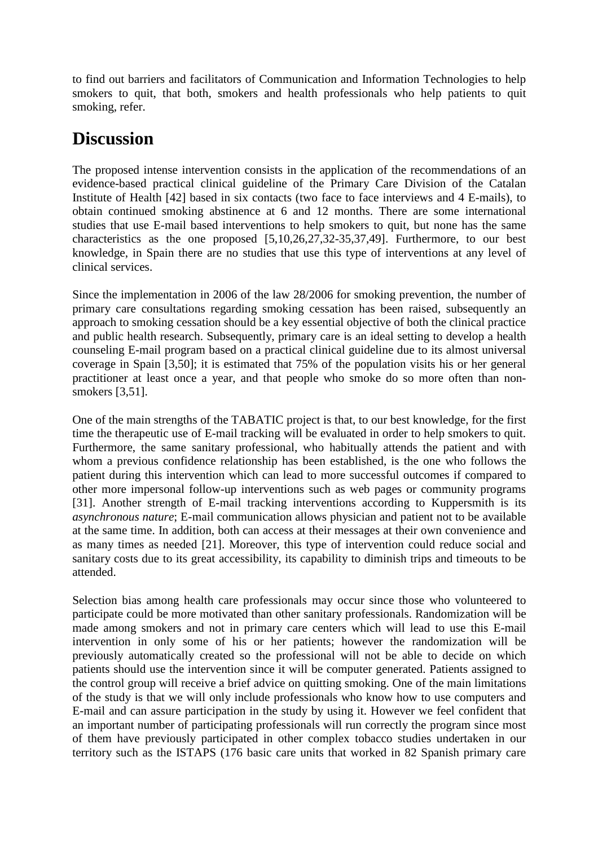to find out barriers and facilitators of Communication and Information Technologies to help smokers to quit, that both, smokers and health professionals who help patients to quit smoking, refer.

# **Discussion**

The proposed intense intervention consists in the application of the recommendations of an evidence-based practical clinical guideline of the Primary Care Division of the Catalan Institute of Health [42] based in six contacts (two face to face interviews and 4 E-mails), to obtain continued smoking abstinence at 6 and 12 months. There are some international studies that use E-mail based interventions to help smokers to quit, but none has the same characteristics as the one proposed [5,10,26,27,32-35,37,49]. Furthermore, to our best knowledge, in Spain there are no studies that use this type of interventions at any level of clinical services.

Since the implementation in 2006 of the law 28/2006 for smoking prevention, the number of primary care consultations regarding smoking cessation has been raised, subsequently an approach to smoking cessation should be a key essential objective of both the clinical practice and public health research. Subsequently, primary care is an ideal setting to develop a health counseling E-mail program based on a practical clinical guideline due to its almost universal coverage in Spain [3,50]; it is estimated that 75% of the population visits his or her general practitioner at least once a year, and that people who smoke do so more often than nonsmokers [3,51].

One of the main strengths of the TABATIC project is that, to our best knowledge, for the first time the therapeutic use of E-mail tracking will be evaluated in order to help smokers to quit. Furthermore, the same sanitary professional, who habitually attends the patient and with whom a previous confidence relationship has been established, is the one who follows the patient during this intervention which can lead to more successful outcomes if compared to other more impersonal follow-up interventions such as web pages or community programs [31]. Another strength of E-mail tracking interventions according to Kuppersmith is its *asynchronous nature*; E-mail communication allows physician and patient not to be available at the same time. In addition, both can access at their messages at their own convenience and as many times as needed [21]. Moreover, this type of intervention could reduce social and sanitary costs due to its great accessibility, its capability to diminish trips and timeouts to be attended.

Selection bias among health care professionals may occur since those who volunteered to participate could be more motivated than other sanitary professionals. Randomization will be made among smokers and not in primary care centers which will lead to use this E-mail intervention in only some of his or her patients; however the randomization will be previously automatically created so the professional will not be able to decide on which patients should use the intervention since it will be computer generated. Patients assigned to the control group will receive a brief advice on quitting smoking. One of the main limitations of the study is that we will only include professionals who know how to use computers and E-mail and can assure participation in the study by using it. However we feel confident that an important number of participating professionals will run correctly the program since most of them have previously participated in other complex tobacco studies undertaken in our territory such as the ISTAPS (176 basic care units that worked in 82 Spanish primary care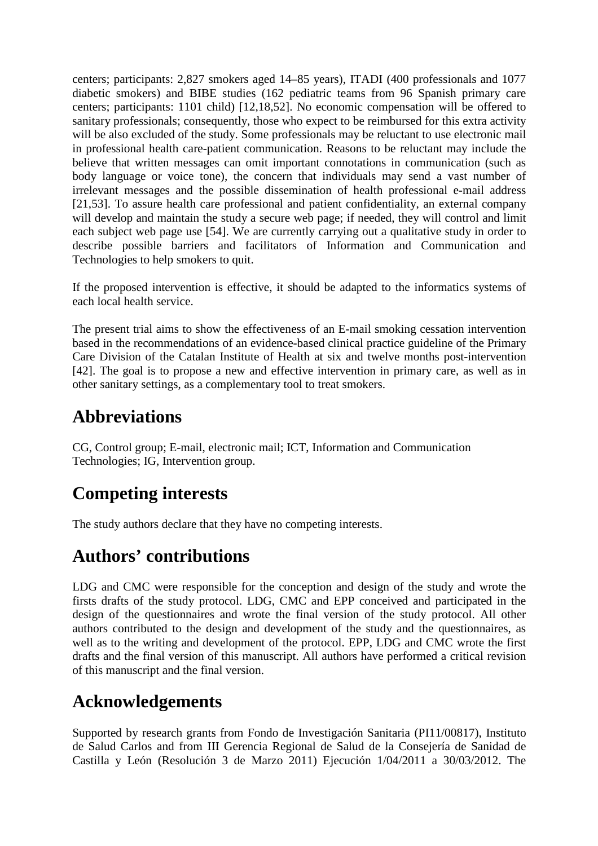centers; participants: 2,827 smokers aged 14–85 years), ITADI (400 professionals and 1077 diabetic smokers) and BIBE studies (162 pediatric teams from 96 Spanish primary care centers; participants: 1101 child) [12,18,52]. No economic compensation will be offered to sanitary professionals; consequently, those who expect to be reimbursed for this extra activity will be also excluded of the study. Some professionals may be reluctant to use electronic mail in professional health care-patient communication. Reasons to be reluctant may include the believe that written messages can omit important connotations in communication (such as body language or voice tone), the concern that individuals may send a vast number of irrelevant messages and the possible dissemination of health professional e-mail address [21,53]. To assure health care professional and patient confidentiality, an external company will develop and maintain the study a secure web page; if needed, they will control and limit each subject web page use [54]. We are currently carrying out a qualitative study in order to describe possible barriers and facilitators of Information and Communication and Technologies to help smokers to quit.

If the proposed intervention is effective, it should be adapted to the informatics systems of each local health service.

The present trial aims to show the effectiveness of an E-mail smoking cessation intervention based in the recommendations of an evidence-based clinical practice guideline of the Primary Care Division of the Catalan Institute of Health at six and twelve months post-intervention [42]. The goal is to propose a new and effective intervention in primary care, as well as in other sanitary settings, as a complementary tool to treat smokers.

# **Abbreviations**

CG, Control group; E-mail, electronic mail; ICT, Information and Communication Technologies; IG, Intervention group.

# **Competing interests**

The study authors declare that they have no competing interests.

# **Authors' contributions**

LDG and CMC were responsible for the conception and design of the study and wrote the firsts drafts of the study protocol. LDG, CMC and EPP conceived and participated in the design of the questionnaires and wrote the final version of the study protocol. All other authors contributed to the design and development of the study and the questionnaires, as well as to the writing and development of the protocol. EPP, LDG and CMC wrote the first drafts and the final version of this manuscript. All authors have performed a critical revision of this manuscript and the final version.

# **Acknowledgements**

Supported by research grants from Fondo de Investigación Sanitaria (PI11/00817), Instituto de Salud Carlos and from III Gerencia Regional de Salud de la Consejería de Sanidad de Castilla y León (Resolución 3 de Marzo 2011) Ejecución 1/04/2011 a 30/03/2012. The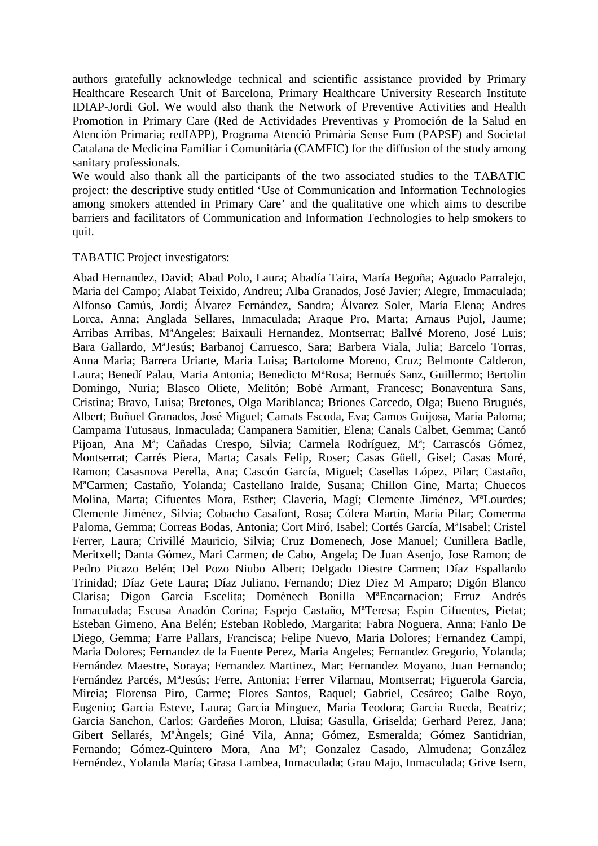authors gratefully acknowledge technical and scientific assistance provided by Primary Healthcare Research Unit of Barcelona, Primary Healthcare University Research Institute IDIAP-Jordi Gol. We would also thank the Network of Preventive Activities and Health Promotion in Primary Care (Red de Actividades Preventivas y Promoción de la Salud en Atención Primaria; redIAPP), Programa Atenció Primària Sense Fum (PAPSF) and Societat Catalana de Medicina Familiar i Comunitària (CAMFIC) for the diffusion of the study among sanitary professionals.

We would also thank all the participants of the two associated studies to the TABATIC project: the descriptive study entitled 'Use of Communication and Information Technologies among smokers attended in Primary Care' and the qualitative one which aims to describe barriers and facilitators of Communication and Information Technologies to help smokers to quit.

#### TABATIC Project investigators:

Abad Hernandez, David; Abad Polo, Laura; Abadía Taira, María Begoña; Aguado Parralejo, Maria del Campo; Alabat Teixido, Andreu; Alba Granados, José Javier; Alegre, Immaculada; Alfonso Camús, Jordi; Álvarez Fernández, Sandra; Álvarez Soler, María Elena; Andres Lorca, Anna; Anglada Sellares, Inmaculada; Araque Pro, Marta; Arnaus Pujol, Jaume; Arribas Arribas, MªAngeles; Baixauli Hernandez, Montserrat; Ballvé Moreno, José Luis; Bara Gallardo, MªJesús; Barbanoj Carruesco, Sara; Barbera Viala, Julia; Barcelo Torras, Anna Maria; Barrera Uriarte, Maria Luisa; Bartolome Moreno, Cruz; Belmonte Calderon, Laura; Benedí Palau, Maria Antonia; Benedicto MªRosa; Bernués Sanz, Guillermo; Bertolin Domingo, Nuria; Blasco Oliete, Melitón; Bobé Armant, Francesc; Bonaventura Sans, Cristina; Bravo, Luisa; Bretones, Olga Mariblanca; Briones Carcedo, Olga; Bueno Brugués, Albert; Buñuel Granados, José Miguel; Camats Escoda, Eva; Camos Guijosa, Maria Paloma; Campama Tutusaus, Inmaculada; Campanera Samitier, Elena; Canals Calbet, Gemma; Cantó Pijoan, Ana Mª; Cañadas Crespo, Silvia; Carmela Rodríguez, Mª; Carrascós Gómez, Montserrat; Carrés Piera, Marta; Casals Felip, Roser; Casas Güell, Gisel; Casas Moré, Ramon; Casasnova Perella, Ana; Cascón García, Miguel; Casellas López, Pilar; Castaño, MªCarmen; Castaño, Yolanda; Castellano Iralde, Susana; Chillon Gine, Marta; Chuecos Molina, Marta; Cifuentes Mora, Esther; Claveria, Magí; Clemente Jiménez, MªLourdes; Clemente Jiménez, Silvia; Cobacho Casafont, Rosa; Cólera Martín, Maria Pilar; Comerma Paloma, Gemma; Correas Bodas, Antonia; Cort Miró, Isabel; Cortés García, MªIsabel; Cristel Ferrer, Laura; Crivillé Mauricio, Silvia; Cruz Domenech, Jose Manuel; Cunillera Batlle, Meritxell; Danta Gómez, Mari Carmen; de Cabo, Angela; De Juan Asenjo, Jose Ramon; de Pedro Picazo Belén; Del Pozo Niubo Albert; Delgado Diestre Carmen; Díaz Espallardo Trinidad; Díaz Gete Laura; Díaz Juliano, Fernando; Diez Diez M Amparo; Digón Blanco Clarisa; Digon Garcia Escelita; Domènech Bonilla MªEncarnacion; Erruz Andrés Inmaculada; Escusa Anadón Corina; Espejo Castaño, MªTeresa; Espin Cifuentes, Pietat; Esteban Gimeno, Ana Belén; Esteban Robledo, Margarita; Fabra Noguera, Anna; Fanlo De Diego, Gemma; Farre Pallars, Francisca; Felipe Nuevo, Maria Dolores; Fernandez Campi, Maria Dolores; Fernandez de la Fuente Perez, Maria Angeles; Fernandez Gregorio, Yolanda; Fernández Maestre, Soraya; Fernandez Martinez, Mar; Fernandez Moyano, Juan Fernando; Fernández Parcés, MªJesús; Ferre, Antonia; Ferrer Vilarnau, Montserrat; Figuerola Garcia, Mireia; Florensa Piro, Carme; Flores Santos, Raquel; Gabriel, Cesáreo; Galbe Royo, Eugenio; Garcia Esteve, Laura; García Minguez, Maria Teodora; Garcia Rueda, Beatriz; Garcia Sanchon, Carlos; Gardeñes Moron, Lluisa; Gasulla, Griselda; Gerhard Perez, Jana; Gibert Sellarés, MªÀngels; Giné Vila, Anna; Gómez, Esmeralda; Gómez Santidrian, Fernando; Gómez-Quintero Mora, Ana Mª; Gonzalez Casado, Almudena; González Fernéndez, Yolanda María; Grasa Lambea, Inmaculada; Grau Majo, Inmaculada; Grive Isern,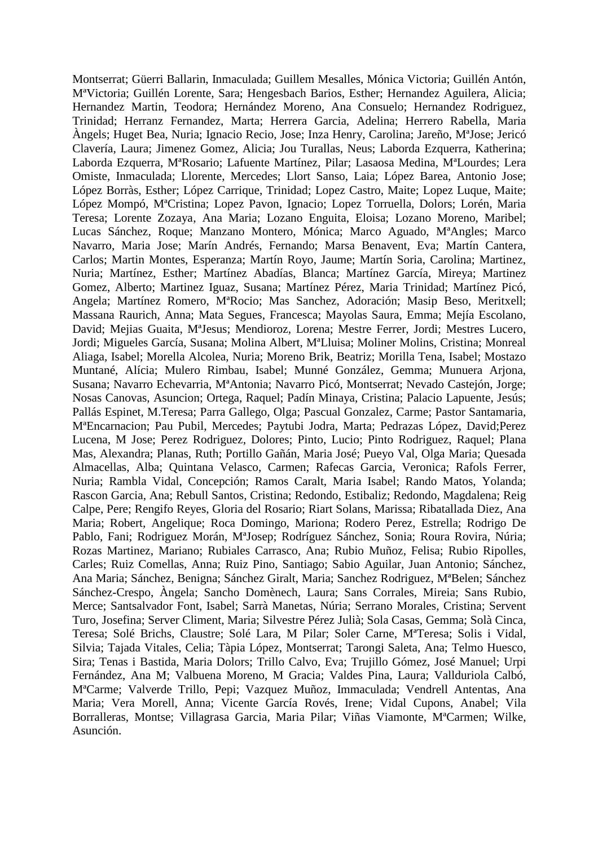Montserrat; Güerri Ballarin, Inmaculada; Guillem Mesalles, Mónica Victoria; Guillén Antón, MªVictoria; Guillén Lorente, Sara; Hengesbach Barios, Esther; Hernandez Aguilera, Alicia; Hernandez Martin, Teodora; Hernández Moreno, Ana Consuelo; Hernandez Rodriguez, Trinidad; Herranz Fernandez, Marta; Herrera Garcia, Adelina; Herrero Rabella, Maria Àngels; Huget Bea, Nuria; Ignacio Recio, Jose; Inza Henry, Carolina; Jareño, MªJose; Jericó Clavería, Laura; Jimenez Gomez, Alicia; Jou Turallas, Neus; Laborda Ezquerra, Katherina; Laborda Ezquerra, MªRosario; Lafuente Martínez, Pilar; Lasaosa Medina, MªLourdes; Lera Omiste, Inmaculada; Llorente, Mercedes; Llort Sanso, Laia; López Barea, Antonio Jose; López Borràs, Esther; López Carrique, Trinidad; Lopez Castro, Maite; Lopez Luque, Maite; López Mompó, MªCristina; Lopez Pavon, Ignacio; Lopez Torruella, Dolors; Lorén, Maria Teresa; Lorente Zozaya, Ana Maria; Lozano Enguita, Eloisa; Lozano Moreno, Maribel; Lucas Sánchez, Roque; Manzano Montero, Mónica; Marco Aguado, MªAngles; Marco Navarro, Maria Jose; Marín Andrés, Fernando; Marsa Benavent, Eva; Martín Cantera, Carlos; Martin Montes, Esperanza; Martín Royo, Jaume; Martín Soria, Carolina; Martinez, Nuria; Martínez, Esther; Martínez Abadías, Blanca; Martínez García, Mireya; Martinez Gomez, Alberto; Martinez Iguaz, Susana; Martínez Pérez, Maria Trinidad; Martínez Picó, Angela; Martínez Romero, MªRocio; Mas Sanchez, Adoración; Masip Beso, Meritxell; Massana Raurich, Anna; Mata Segues, Francesca; Mayolas Saura, Emma; Mejía Escolano, David; Mejias Guaita, MªJesus; Mendioroz, Lorena; Mestre Ferrer, Jordi; Mestres Lucero, Jordi; Migueles García, Susana; Molina Albert, MªLluisa; Moliner Molins, Cristina; Monreal Aliaga, Isabel; Morella Alcolea, Nuria; Moreno Brik, Beatriz; Morilla Tena, Isabel; Mostazo Muntané, Alícia; Mulero Rimbau, Isabel; Munné González, Gemma; Munuera Arjona, Susana; Navarro Echevarria, MªAntonia; Navarro Picó, Montserrat; Nevado Castejón, Jorge; Nosas Canovas, Asuncion; Ortega, Raquel; Padín Minaya, Cristina; Palacio Lapuente, Jesús; Pallás Espinet, M.Teresa; Parra Gallego, Olga; Pascual Gonzalez, Carme; Pastor Santamaria, MªEncarnacion; Pau Pubil, Mercedes; Paytubi Jodra, Marta; Pedrazas López, David;Perez Lucena, M Jose; Perez Rodriguez, Dolores; Pinto, Lucio; Pinto Rodriguez, Raquel; Plana Mas, Alexandra; Planas, Ruth; Portillo Gañán, Maria José; Pueyo Val, Olga Maria; Quesada Almacellas, Alba; Quintana Velasco, Carmen; Rafecas Garcia, Veronica; Rafols Ferrer, Nuria; Rambla Vidal, Concepción; Ramos Caralt, Maria Isabel; Rando Matos, Yolanda; Rascon Garcia, Ana; Rebull Santos, Cristina; Redondo, Estibaliz; Redondo, Magdalena; Reig Calpe, Pere; Rengifo Reyes, Gloria del Rosario; Riart Solans, Marissa; Ribatallada Diez, Ana Maria; Robert, Angelique; Roca Domingo, Mariona; Rodero Perez, Estrella; Rodrigo De Pablo, Fani; Rodriguez Morán, MªJosep; Rodríguez Sánchez, Sonia; Roura Rovira, Núria; Rozas Martinez, Mariano; Rubiales Carrasco, Ana; Rubio Muñoz, Felisa; Rubio Ripolles, Carles; Ruiz Comellas, Anna; Ruiz Pino, Santiago; Sabio Aguilar, Juan Antonio; Sánchez, Ana Maria; Sánchez, Benigna; Sánchez Giralt, Maria; Sanchez Rodriguez, MªBelen; Sánchez Sánchez-Crespo, Àngela; Sancho Domènech, Laura; Sans Corrales, Mireia; Sans Rubio, Merce; Santsalvador Font, Isabel; Sarrà Manetas, Núria; Serrano Morales, Cristina; Servent Turo, Josefina; Server Climent, Maria; Silvestre Pérez Julià; Sola Casas, Gemma; Solà Cinca, Teresa; Solé Brichs, Claustre; Solé Lara, M Pilar; Soler Carne, MªTeresa; Solis i Vidal, Silvia; Tajada Vitales, Celia; Tàpia López, Montserrat; Tarongi Saleta, Ana; Telmo Huesco, Sira; Tenas i Bastida, Maria Dolors; Trillo Calvo, Eva; Trujillo Gómez, José Manuel; Urpi Fernández, Ana M; Valbuena Moreno, M Gracia; Valdes Pina, Laura; Vallduriola Calbó, MªCarme; Valverde Trillo, Pepi; Vazquez Muñoz, Immaculada; Vendrell Antentas, Ana Maria; Vera Morell, Anna; Vicente García Rovés, Irene; Vidal Cupons, Anabel; Vila Borralleras, Montse; Villagrasa Garcia, Maria Pilar; Viñas Viamonte, MªCarmen; Wilke, Asunción.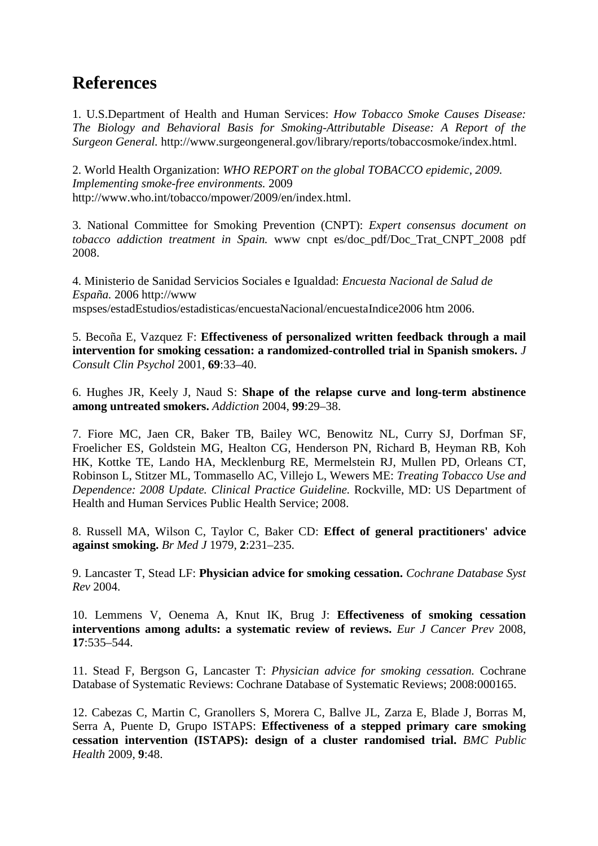# **References**

1. U.S.Department of Health and Human Services: *How Tobacco Smoke Causes Disease: The Biology and Behavioral Basis for Smoking-Attributable Disease: A Report of the Surgeon General.* http://www.surgeongeneral.gov/library/reports/tobaccosmoke/index.html.

2. World Health Organization: *WHO REPORT on the global TOBACCO epidemic, 2009. Implementing smoke-free environments.* 2009 http://www.who.int/tobacco/mpower/2009/en/index.html.

3. National Committee for Smoking Prevention (CNPT): *Expert consensus document on tobacco addiction treatment in Spain.* www cnpt es/doc\_pdf/Doc\_Trat\_CNPT\_2008 pdf 2008.

4. Ministerio de Sanidad Servicios Sociales e Igualdad: *Encuesta Nacional de Salud de España.* 2006 http://www mspses/estadEstudios/estadisticas/encuestaNacional/encuestaIndice2006 htm 2006.

5. Becoña E, Vazquez F: **Effectiveness of personalized written feedback through a mail intervention for smoking cessation: a randomized-controlled trial in Spanish smokers.** *J Consult Clin Psychol* 2001, **69**:33–40.

6. Hughes JR, Keely J, Naud S: **Shape of the relapse curve and long-term abstinence among untreated smokers.** *Addiction* 2004, **99**:29–38.

7. Fiore MC, Jaen CR, Baker TB, Bailey WC, Benowitz NL, Curry SJ, Dorfman SF, Froelicher ES, Goldstein MG, Healton CG, Henderson PN, Richard B, Heyman RB, Koh HK, Kottke TE, Lando HA, Mecklenburg RE, Mermelstein RJ, Mullen PD, Orleans CT, Robinson L, Stitzer ML, Tommasello AC, Villejo L, Wewers ME: *Treating Tobacco Use and Dependence: 2008 Update. Clinical Practice Guideline.* Rockville, MD: US Department of Health and Human Services Public Health Service; 2008.

8. Russell MA, Wilson C, Taylor C, Baker CD: **Effect of general practitioners' advice against smoking.** *Br Med J* 1979, **2**:231–235.

9. Lancaster T, Stead LF: **Physician advice for smoking cessation.** *Cochrane Database Syst Rev* 2004.

10. Lemmens V, Oenema A, Knut IK, Brug J: **Effectiveness of smoking cessation interventions among adults: a systematic review of reviews.** *Eur J Cancer Prev* 2008, **17**:535–544.

11. Stead F, Bergson G, Lancaster T: *Physician advice for smoking cessation.* Cochrane Database of Systematic Reviews: Cochrane Database of Systematic Reviews; 2008:000165.

12. Cabezas C, Martin C, Granollers S, Morera C, Ballve JL, Zarza E, Blade J, Borras M, Serra A, Puente D, Grupo ISTAPS: **Effectiveness of a stepped primary care smoking cessation intervention (ISTAPS): design of a cluster randomised trial.** *BMC Public Health* 2009, **9**:48.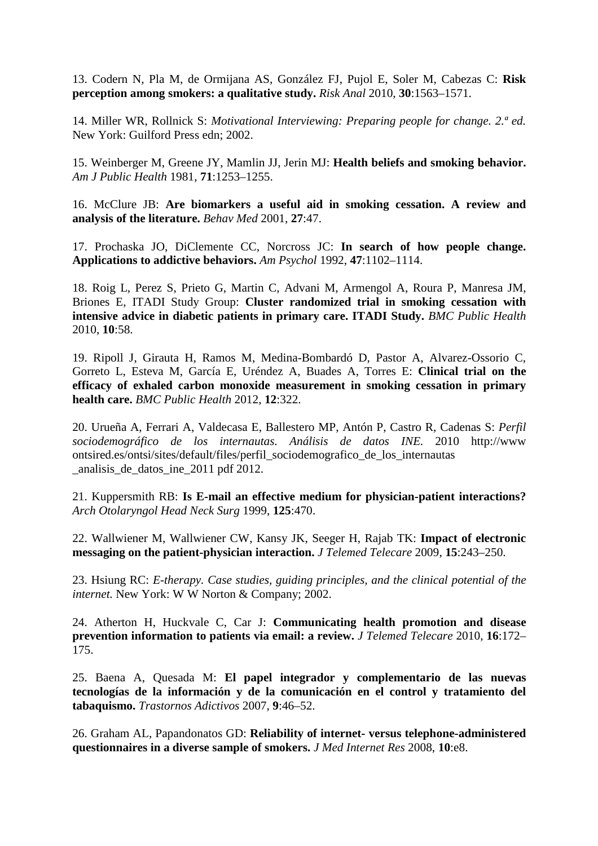13. Codern N, Pla M, de Ormijana AS, González FJ, Pujol E, Soler M, Cabezas C: **Risk perception among smokers: a qualitative study.** *Risk Anal* 2010, **30**:1563–1571.

14. Miller WR, Rollnick S: *Motivational Interviewing: Preparing people for change. 2.ª ed.* New York: Guilford Press edn; 2002.

15. Weinberger M, Greene JY, Mamlin JJ, Jerin MJ: **Health beliefs and smoking behavior.** *Am J Public Health* 1981, **71**:1253–1255.

16. McClure JB: **Are biomarkers a useful aid in smoking cessation. A review and analysis of the literature.** *Behav Med* 2001, **27**:47.

17. Prochaska JO, DiClemente CC, Norcross JC: **In search of how people change. Applications to addictive behaviors.** *Am Psychol* 1992, **47**:1102–1114.

18. Roig L, Perez S, Prieto G, Martin C, Advani M, Armengol A, Roura P, Manresa JM, Briones E, ITADI Study Group: **Cluster randomized trial in smoking cessation with intensive advice in diabetic patients in primary care. ITADI Study.** *BMC Public Health* 2010, **10**:58.

19. Ripoll J, Girauta H, Ramos M, Medina-Bombardó D, Pastor A, Alvarez-Ossorio C, Gorreto L, Esteva M, García E, Uréndez A, Buades A, Torres E: **Clinical trial on the efficacy of exhaled carbon monoxide measurement in smoking cessation in primary health care.** *BMC Public Health* 2012, **12**:322.

20. Urueña A, Ferrari A, Valdecasa E, Ballestero MP, Antón P, Castro R, Cadenas S: *Perfil sociodemográfico de los internautas. Análisis de datos INE.* 2010 http://www ontsired.es/ontsi/sites/default/files/perfil\_sociodemografico\_de\_los\_internautas \_analisis\_de\_datos\_ine\_2011 pdf 2012.

21. Kuppersmith RB: **Is E-mail an effective medium for physician-patient interactions?** *Arch Otolaryngol Head Neck Surg* 1999, **125**:470.

22. Wallwiener M, Wallwiener CW, Kansy JK, Seeger H, Rajab TK: **Impact of electronic messaging on the patient-physician interaction.** *J Telemed Telecare* 2009, **15**:243–250.

23. Hsiung RC: *E-therapy. Case studies, guiding principles, and the clinical potential of the internet.* New York: W W Norton & Company; 2002.

24. Atherton H, Huckvale C, Car J: **Communicating health promotion and disease prevention information to patients via email: a review.** *J Telemed Telecare* 2010, **16**:172– 175.

25. Baena A, Quesada M: **El papel integrador y complementario de las nuevas tecnologías de la información y de la comunicación en el control y tratamiento del tabaquismo.** *Trastornos Adictivos* 2007, **9**:46–52.

26. Graham AL, Papandonatos GD: **Reliability of internet- versus telephone-administered questionnaires in a diverse sample of smokers.** *J Med Internet Res* 2008, **10**:e8.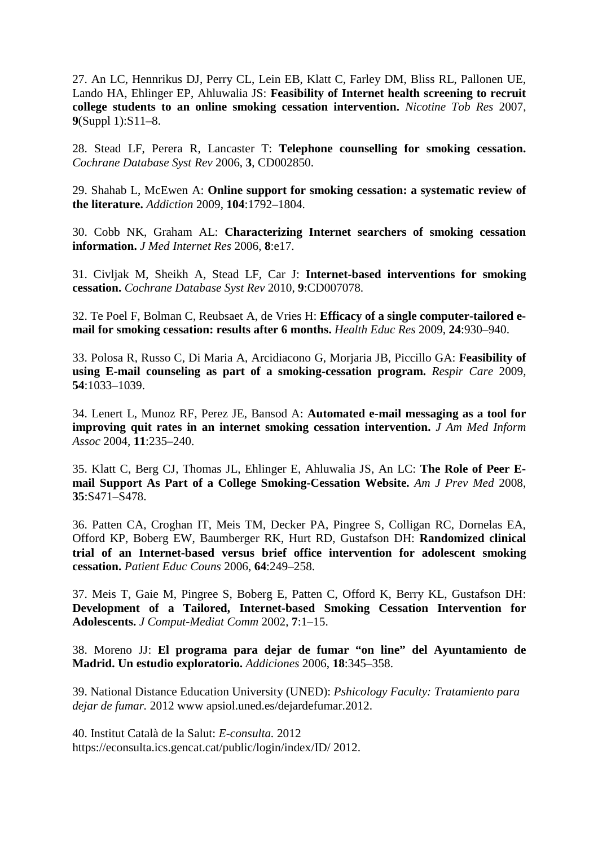27. An LC, Hennrikus DJ, Perry CL, Lein EB, Klatt C, Farley DM, Bliss RL, Pallonen UE, Lando HA, Ehlinger EP, Ahluwalia JS: **Feasibility of Internet health screening to recruit college students to an online smoking cessation intervention.** *Nicotine Tob Res* 2007, **9**(Suppl 1):S11–8.

28. Stead LF, Perera R, Lancaster T: **Telephone counselling for smoking cessation.** *Cochrane Database Syst Rev* 2006, **3**, CD002850.

29. Shahab L, McEwen A: **Online support for smoking cessation: a systematic review of the literature.** *Addiction* 2009, **104**:1792–1804.

30. Cobb NK, Graham AL: **Characterizing Internet searchers of smoking cessation information.** *J Med Internet Res* 2006, **8**:e17.

31. Civljak M, Sheikh A, Stead LF, Car J: **Internet-based interventions for smoking cessation.** *Cochrane Database Syst Rev* 2010, **9**:CD007078.

32. Te Poel F, Bolman C, Reubsaet A, de Vries H: **Efficacy of a single computer-tailored email for smoking cessation: results after 6 months.** *Health Educ Res* 2009, **24**:930–940.

33. Polosa R, Russo C, Di Maria A, Arcidiacono G, Morjaria JB, Piccillo GA: **Feasibility of using E-mail counseling as part of a smoking-cessation program.** *Respir Care* 2009, **54**:1033–1039.

34. Lenert L, Munoz RF, Perez JE, Bansod A: **Automated e-mail messaging as a tool for improving quit rates in an internet smoking cessation intervention.** *J Am Med Inform Assoc* 2004, **11**:235–240.

35. Klatt C, Berg CJ, Thomas JL, Ehlinger E, Ahluwalia JS, An LC: **The Role of Peer Email Support As Part of a College Smoking-Cessation Website.** *Am J Prev Med* 2008, **35**:S471–S478.

36. Patten CA, Croghan IT, Meis TM, Decker PA, Pingree S, Colligan RC, Dornelas EA, Offord KP, Boberg EW, Baumberger RK, Hurt RD, Gustafson DH: **Randomized clinical trial of an Internet-based versus brief office intervention for adolescent smoking cessation.** *Patient Educ Couns* 2006, **64**:249–258.

37. Meis T, Gaie M, Pingree S, Boberg E, Patten C, Offord K, Berry KL, Gustafson DH: **Development of a Tailored, Internet-based Smoking Cessation Intervention for Adolescents.** *J Comput-Mediat Comm* 2002, **7**:1–15.

38. Moreno JJ: **El programa para dejar de fumar "on line" del Ayuntamiento de Madrid. Un estudio exploratorio.** *Addiciones* 2006, **18**:345–358.

39. National Distance Education University (UNED): *Pshicology Faculty: Tratamiento para dejar de fumar.* 2012 www apsiol.uned.es/dejardefumar.2012.

40. Institut Català de la Salut: *E-consulta.* 2012 https://econsulta.ics.gencat.cat/public/login/index/ID/ 2012.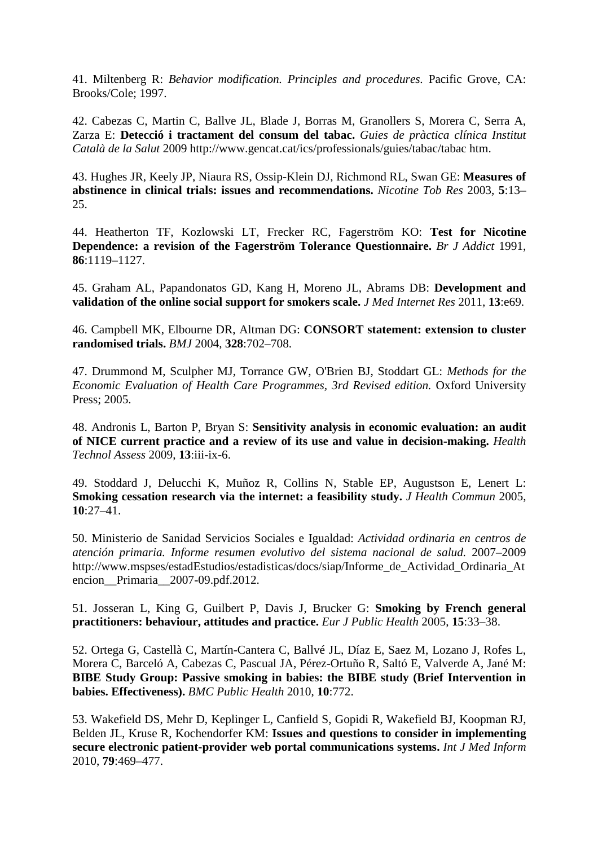41. Miltenberg R: *Behavior modification. Principles and procedures.* Pacific Grove, CA: Brooks/Cole; 1997.

42. Cabezas C, Martin C, Ballve JL, Blade J, Borras M, Granollers S, Morera C, Serra A, Zarza E: **Detecció i tractament del consum del tabac.** *Guies de pràctica clínica Institut Català de la Salut* 2009 http://www.gencat.cat/ics/professionals/guies/tabac/tabac htm.

43. Hughes JR, Keely JP, Niaura RS, Ossip-Klein DJ, Richmond RL, Swan GE: **Measures of abstinence in clinical trials: issues and recommendations.** *Nicotine Tob Res* 2003, **5**:13– 25.

44. Heatherton TF, Kozlowski LT, Frecker RC, Fagerström KO: **Test for Nicotine Dependence: a revision of the Fagerström Tolerance Questionnaire.** *Br J Addict* 1991, **86**:1119–1127.

45. Graham AL, Papandonatos GD, Kang H, Moreno JL, Abrams DB: **Development and validation of the online social support for smokers scale.** *J Med Internet Res* 2011, **13**:e69.

46. Campbell MK, Elbourne DR, Altman DG: **CONSORT statement: extension to cluster randomised trials.** *BMJ* 2004, **328**:702–708.

47. Drummond M, Sculpher MJ, Torrance GW, O'Brien BJ, Stoddart GL: *Methods for the Economic Evaluation of Health Care Programmes, 3rd Revised edition.* Oxford University Press; 2005.

48. Andronis L, Barton P, Bryan S: **Sensitivity analysis in economic evaluation: an audit of NICE current practice and a review of its use and value in decision-making.** *Health Technol Assess* 2009, **13**:iii-ix-6.

49. Stoddard J, Delucchi K, Muñoz R, Collins N, Stable EP, Augustson E, Lenert L: **Smoking cessation research via the internet: a feasibility study.** *J Health Commun* 2005, **10**:27–41.

50. Ministerio de Sanidad Servicios Sociales e Igualdad: *Actividad ordinaria en centros de atención primaria. Informe resumen evolutivo del sistema nacional de salud.* 2007–2009 http://www.mspses/estadEstudios/estadisticas/docs/siap/Informe\_de\_Actividad\_Ordinaria\_At encion Primaria 2007-09.pdf.2012.

51. Josseran L, King G, Guilbert P, Davis J, Brucker G: **Smoking by French general practitioners: behaviour, attitudes and practice.** *Eur J Public Health* 2005, **15**:33–38.

52. Ortega G, Castellà C, Martín-Cantera C, Ballvé JL, Díaz E, Saez M, Lozano J, Rofes L, Morera C, Barceló A, Cabezas C, Pascual JA, Pérez-Ortuño R, Saltó E, Valverde A, Jané M: **BIBE Study Group: Passive smoking in babies: the BIBE study (Brief Intervention in babies. Effectiveness).** *BMC Public Health* 2010, **10**:772.

53. Wakefield DS, Mehr D, Keplinger L, Canfield S, Gopidi R, Wakefield BJ, Koopman RJ, Belden JL, Kruse R, Kochendorfer KM: **Issues and questions to consider in implementing secure electronic patient-provider web portal communications systems.** *Int J Med Inform* 2010, **79**:469–477.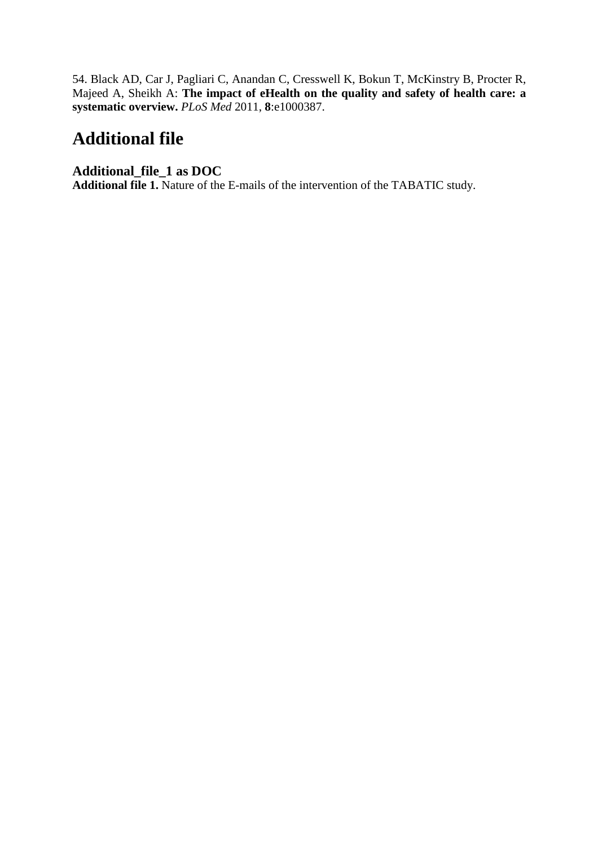54. Black AD, Car J, Pagliari C, Anandan C, Cresswell K, Bokun T, McKinstry B, Procter R, Majeed A, Sheikh A: **The impact of eHealth on the quality and safety of health care: a systematic overview.** *PLoS Med* 2011, **8**:e1000387.

# **Additional file**

**Additional\_file\_1 as DOC**

**Additional file 1.** Nature of the E-mails of the intervention of the TABATIC study.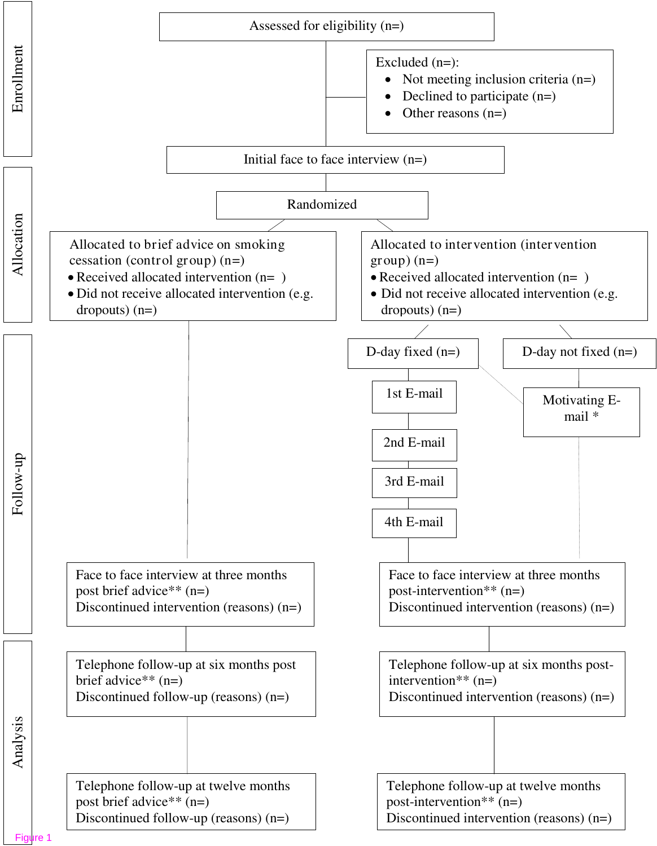